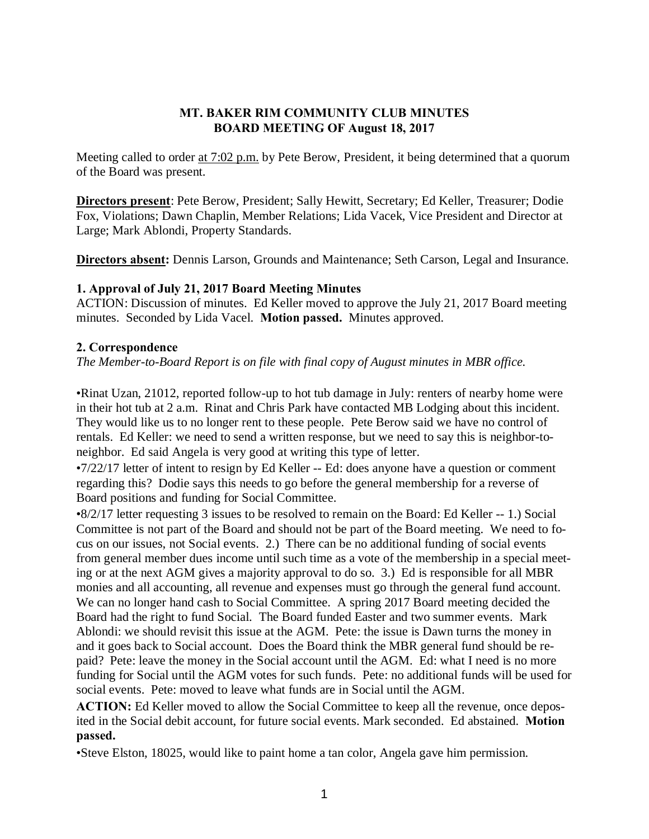#### MT. BAKER RIM COMMUNITY CLUB MINUTES BOARD MEETING OF August 18, 2017

Meeting called to order <u>at 7:02 p.m.</u> by Pete Berow, President, it being determined that a quorum of the Board was present.

Directors present: Pete Berow, President; Sally Hewitt, Secretary; Ed Keller, Treasurer; Dodie Fox, Violations; Dawn Chaplin, Member Relations; Lida Vacek, Vice President and Director at Large; Mark Ablondi, Property Standards.

Directors absent: Dennis Larson, Grounds and Maintenance; Seth Carson, Legal and Insurance.

#### 1. Approval of July 21, 2017 Board Meeting Minutes

ACTION: Discussion of minutes. Ed Keller moved to approve the July 21, 2017 Board meeting minutes. Seconded by Lida Vacel. Motion passed. Minutes approved.

#### 2. Correspondence

*The Member-to-Board Report is on file with final copy of August minutes in MBR office.*

•Rinat Uzan, 21012, reported follow-up to hot tub damage in July: renters of nearby home were in their hot tub at 2 a.m. Rinat and Chris Park have contacted MB Lodging about this incident. They would like us to no longer rent to these people. Pete Berow said we have no control of rentals. Ed Keller: we need to send a written response, but we need to say this is neighbor-toneighbor. Ed said Angela is very good at writing this type of letter.

•7/22/17 letter of intent to resign by Ed Keller -- Ed: does anyone have a question or comment regarding this? Dodie says this needs to go before the general membership for a reverse of Board positions and funding for Social Committee.

•8/2/17 letter requesting 3 issues to be resolved to remain on the Board: Ed Keller -- 1.) Social Committee is not part of the Board and should not be part of the Board meeting. We need to focus on our issues, not Social events. 2.) There can be no additional funding of social events from general member dues income until such time as a vote of the membership in a special meeting or at the next AGM gives a majority approval to do so. 3.) Ed is responsible for all MBR monies and all accounting, all revenue and expenses must go through the general fund account. We can no longer hand cash to Social Committee. A spring 2017 Board meeting decided the Board had the right to fund Social. The Board funded Easter and two summer events. Mark Ablondi: we should revisit this issue at the AGM. Pete: the issue is Dawn turns the money in and it goes back to Social account. Does the Board think the MBR general fund should be repaid? Pete: leave the money in the Social account until the AGM. Ed: what I need is no more funding for Social until the AGM votes for such funds. Pete: no additional funds will be used for social events. Pete: moved to leave what funds are in Social until the AGM.

ACTION: Ed Keller moved to allow the Social Committee to keep all the revenue, once deposited in the Social debit account, for future social events. Mark seconded. Ed abstained. Motion passed.

•Steve Elston, 18025, would like to paint home a tan color, Angela gave him permission.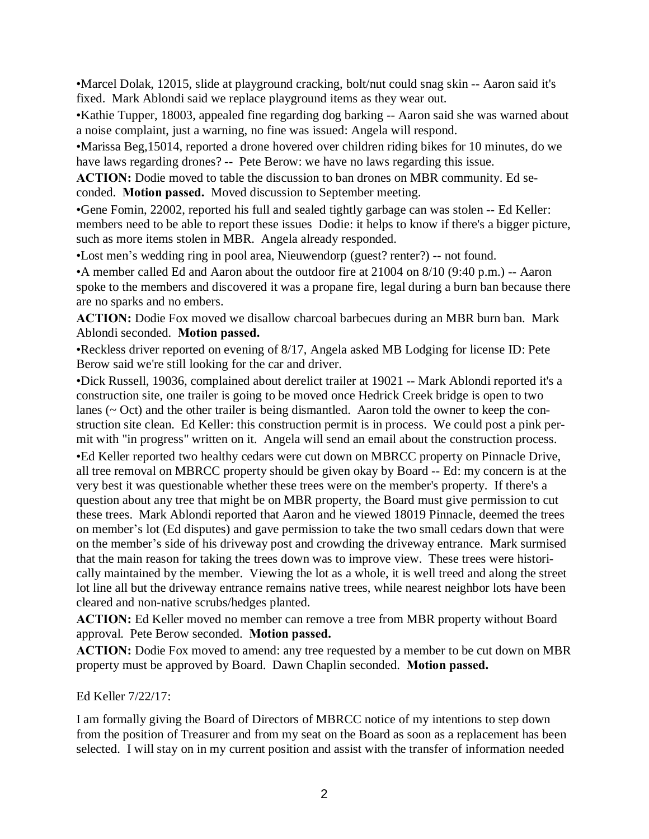•Marcel Dolak, 12015, slide at playground cracking, bolt/nut could snag skin -- Aaron said it's fixed. Mark Ablondi said we replace playground items as they wear out.

•Kathie Tupper, 18003, appealed fine regarding dog barking -- Aaron said she was warned about a noise complaint, just a warning, no fine was issued: Angela will respond.

•Marissa Beg,15014, reported a drone hovered over children riding bikes for 10 minutes, do we have laws regarding drones? -- Pete Berow: we have no laws regarding this issue.

ACTION: Dodie moved to table the discussion to ban drones on MBR community. Ed seconded. Motion passed. Moved discussion to September meeting.

•Gene Fomin, 22002, reported his full and sealed tightly garbage can was stolen -- Ed Keller: members need to be able to report these issues Dodie: it helps to know if there's a bigger picture, such as more items stolen in MBR. Angela already responded.

•Lost men's wedding ring in pool area, Nieuwendorp (guest? renter?) -- not found.

•A member called Ed and Aaron about the outdoor fire at 21004 on 8/10 (9:40 p.m.) -- Aaron spoke to the members and discovered it was a propane fire, legal during a burn ban because there are no sparks and no embers.

ACTION: Dodie Fox moved we disallow charcoal barbecues during an MBR burn ban. Mark Ablondi seconded. Motion passed.

•Reckless driver reported on evening of 8/17, Angela asked MB Lodging for license ID: Pete Berow said we're still looking for the car and driver.

•Dick Russell, 19036, complained about derelict trailer at 19021 -- Mark Ablondi reported it's a construction site, one trailer is going to be moved once Hedrick Creek bridge is open to two lanes ( $\sim$  Oct) and the other trailer is being dismantled. Aaron told the owner to keep the construction site clean. Ed Keller: this construction permit is in process. We could post a pink permit with "in progress" written on it. Angela will send an email about the construction process. •Ed Keller reported two healthy cedars were cut down on MBRCC property on Pinnacle Drive, all tree removal on MBRCC property should be given okay by Board -- Ed: my concern is at the very best it was questionable whether these trees were on the member's property. If there's a question about any tree that might be on MBR property, the Board must give permission to cut these trees. Mark Ablondi reported that Aaron and he viewed 18019 Pinnacle, deemed the trees on member's lot (Ed disputes) and gave permission to take the two small cedars down that were on the member's side of his driveway post and crowding the driveway entrance. Mark surmised that the main reason for taking the trees down was to improve view. These trees were historically maintained by the member. Viewing the lot as a whole, it is well treed and along the street lot line all but the driveway entrance remains native trees, while nearest neighbor lots have been cleared and non-native scrubs/hedges planted.

ACTION: Ed Keller moved no member can remove a tree from MBR property without Board approval. Pete Berow seconded. Motion passed.

ACTION: Dodie Fox moved to amend: any tree requested by a member to be cut down on MBR property must be approved by Board. Dawn Chaplin seconded. Motion passed.

# Ed Keller 7/22/17:

I am formally giving the Board of Directors of MBRCC notice of my intentions to step down from the position of Treasurer and from my seat on the Board as soon as a replacement has been selected. I will stay on in my current position and assist with the transfer of information needed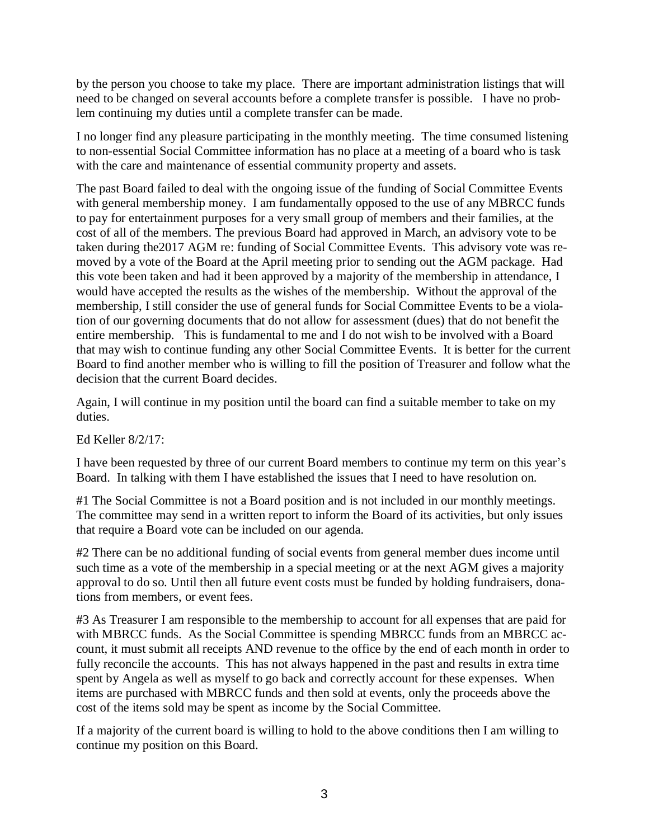by the person you choose to take my place. There are important administration listings that will need to be changed on several accounts before a complete transfer is possible. I have no problem continuing my duties until a complete transfer can be made.

I no longer find any pleasure participating in the monthly meeting. The time consumed listening to non-essential Social Committee information has no place at a meeting of a board who is task with the care and maintenance of essential community property and assets.

The past Board failed to deal with the ongoing issue of the funding of Social Committee Events with general membership money. I am fundamentally opposed to the use of any MBRCC funds to pay for entertainment purposes for a very small group of members and their families, at the cost of all of the members. The previous Board had approved in March, an advisory vote to be taken during the2017 AGM re: funding of Social Committee Events. This advisory vote was removed by a vote of the Board at the April meeting prior to sending out the AGM package. Had this vote been taken and had it been approved by a majority of the membership in attendance, I would have accepted the results as the wishes of the membership. Without the approval of the membership, I still consider the use of general funds for Social Committee Events to be a violation of our governing documents that do not allow for assessment (dues) that do not benefit the entire membership. This is fundamental to me and I do not wish to be involved with a Board that may wish to continue funding any other Social Committee Events. It is better for the current Board to find another member who is willing to fill the position of Treasurer and follow what the decision that the current Board decides.

Again, I will continue in my position until the board can find a suitable member to take on my duties.

Ed Keller 8/2/17:

I have been requested by three of our current Board members to continue my term on this year's Board. In talking with them I have established the issues that I need to have resolution on.

#1 The Social Committee is not a Board position and is not included in our monthly meetings. The committee may send in a written report to inform the Board of its activities, but only issues that require a Board vote can be included on our agenda.

#2 There can be no additional funding of social events from general member dues income until such time as a vote of the membership in a special meeting or at the next AGM gives a majority approval to do so. Until then all future event costs must be funded by holding fundraisers, donations from members, or event fees.

#3 As Treasurer I am responsible to the membership to account for all expenses that are paid for with MBRCC funds. As the Social Committee is spending MBRCC funds from an MBRCC account, it must submit all receipts AND revenue to the office by the end of each month in order to fully reconcile the accounts. This has not always happened in the past and results in extra time spent by Angela as well as myself to go back and correctly account for these expenses. When items are purchased with MBRCC funds and then sold at events, only the proceeds above the cost of the items sold may be spent as income by the Social Committee.

If a majority of the current board is willing to hold to the above conditions then I am willing to continue my position on this Board.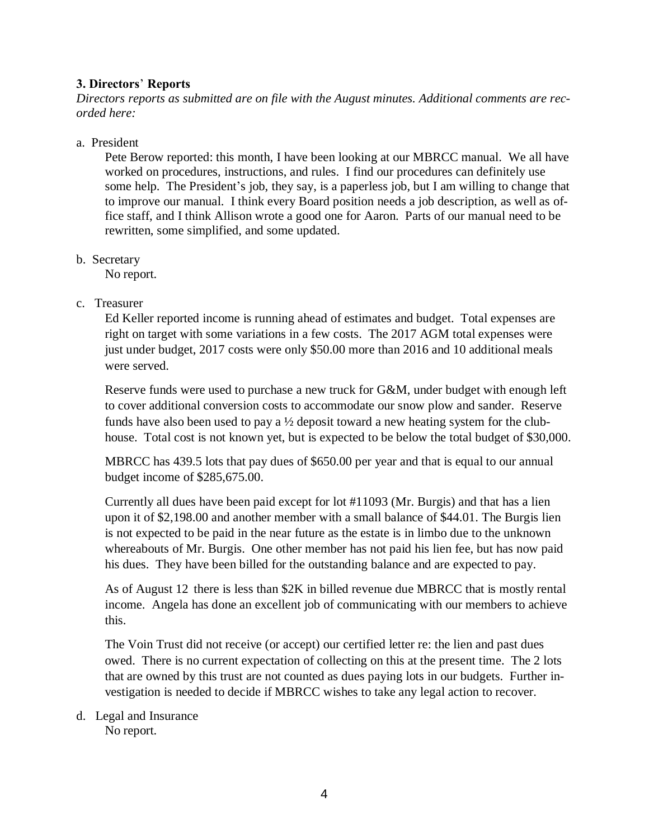# 3. Directors' Reports

*Directors reports as submitted are on file with the August minutes. Additional comments are recorded here:*

#### a. President

Pete Berow reported: this month, I have been looking at our MBRCC manual. We all have worked on procedures, instructions, and rules. I find our procedures can definitely use some help. The President's job, they say, is a paperless job, but I am willing to change that to improve our manual. I think every Board position needs a job description, as well as office staff, and I think Allison wrote a good one for Aaron. Parts of our manual need to be rewritten, some simplified, and some updated.

#### b. Secretary

No report.

#### c. Treasurer

Ed Keller reported income is running ahead of estimates and budget. Total expenses are right on target with some variations in a few costs. The 2017 AGM total expenses were just under budget, 2017 costs were only \$50.00 more than 2016 and 10 additional meals were served.

Reserve funds were used to purchase a new truck for G&M, under budget with enough left to cover additional conversion costs to accommodate our snow plow and sander. Reserve funds have also been used to pay a  $\frac{1}{2}$  deposit toward a new heating system for the clubhouse. Total cost is not known yet, but is expected to be below the total budget of \$30,000.

MBRCC has 439.5 lots that pay dues of \$650.00 per year and that is equal to our annual budget income of \$285,675.00.

Currently all dues have been paid except for lot #11093 (Mr. Burgis) and that has a lien upon it of \$2,198.00 and another member with a small balance of \$44.01. The Burgis lien is not expected to be paid in the near future as the estate is in limbo due to the unknown whereabouts of Mr. Burgis. One other member has not paid his lien fee, but has now paid his dues. They have been billed for the outstanding balance and are expected to pay.

As of August 12 there is less than \$2K in billed revenue due MBRCC that is mostly rental income. Angela has done an excellent job of communicating with our members to achieve this.

The Voin Trust did not receive (or accept) our certified letter re: the lien and past dues owed. There is no current expectation of collecting on this at the present time. The 2 lots that are owned by this trust are not counted as dues paying lots in our budgets. Further investigation is needed to decide if MBRCC wishes to take any legal action to recover.

# d. Legal and Insurance

No report.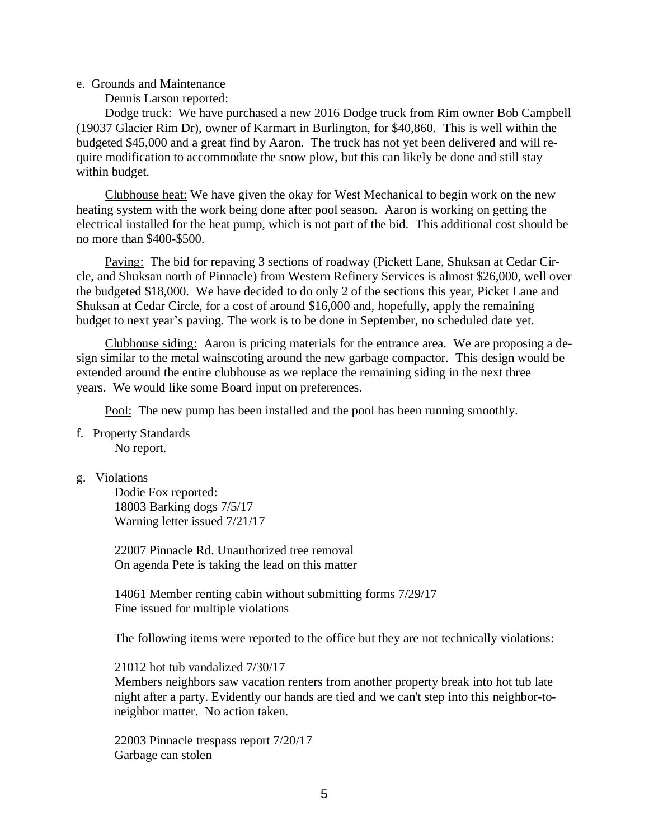#### e. Grounds and Maintenance

Dennis Larson reported:

Dodge truck: We have purchased a new 2016 Dodge truck from Rim owner Bob Campbell (19037 Glacier Rim Dr), owner of Karmart in Burlington, for \$40,860. This is well within the budgeted \$45,000 and a great find by Aaron. The truck has not yet been delivered and will require modification to accommodate the snow plow, but this can likely be done and still stay within budget.

Clubhouse heat: We have given the okay for West Mechanical to begin work on the new heating system with the work being done after pool season. Aaron is working on getting the electrical installed for the heat pump, which is not part of the bid. This additional cost should be no more than \$400-\$500.

Paving: The bid for repaving 3 sections of roadway (Pickett Lane, Shuksan at Cedar Circle, and Shuksan north of Pinnacle) from Western Refinery Services is almost \$26,000, well over the budgeted \$18,000. We have decided to do only 2 of the sections this year, Picket Lane and Shuksan at Cedar Circle, for a cost of around \$16,000 and, hopefully, apply the remaining budget to next year's paving. The work is to be done in September, no scheduled date yet.

Clubhouse siding: Aaron is pricing materials for the entrance area. We are proposing a design similar to the metal wainscoting around the new garbage compactor. This design would be extended around the entire clubhouse as we replace the remaining siding in the next three years. We would like some Board input on preferences.

Pool: The new pump has been installed and the pool has been running smoothly.

f. Property Standards No report.

#### g. Violations

Dodie Fox reported: 18003 Barking dogs 7/5/17 Warning letter issued 7/21/17

22007 Pinnacle Rd. Unauthorized tree removal On agenda Pete is taking the lead on this matter

14061 Member renting cabin without submitting forms 7/29/17 Fine issued for multiple violations

The following items were reported to the office but they are not technically violations:

21012 hot tub vandalized 7/30/17

Members neighbors saw vacation renters from another property break into hot tub late night after a party. Evidently our hands are tied and we can't step into this neighbor-toneighbor matter. No action taken.

22003 Pinnacle trespass report 7/20/17 Garbage can stolen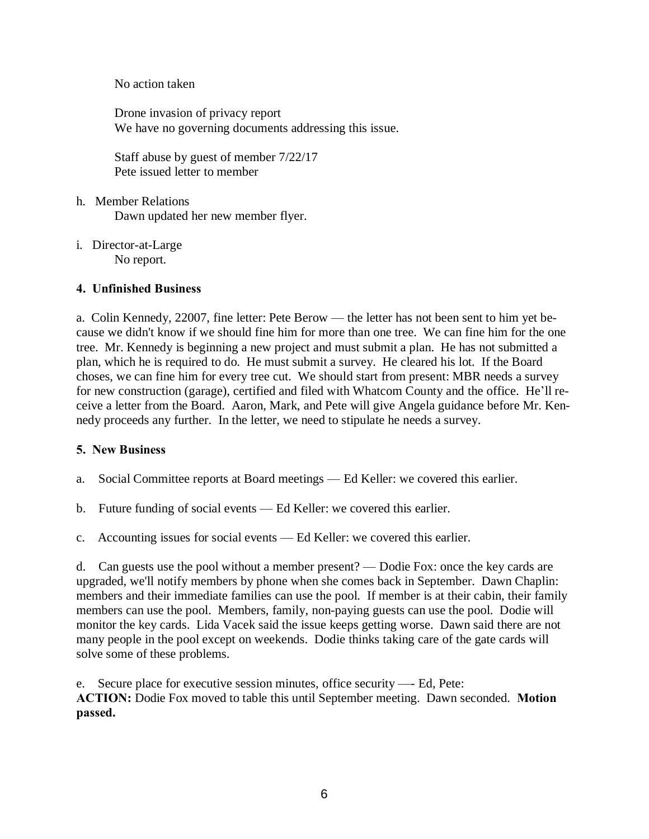No action taken

Drone invasion of privacy report We have no governing documents addressing this issue.

Staff abuse by guest of member 7/22/17 Pete issued letter to member

- h. Member Relations Dawn updated her new member flyer.
- i. Director-at-Large No report.

# 4. Unfinished Business

a. Colin Kennedy, 22007, fine letter: Pete Berow — the letter has not been sent to him yet because we didn't know if we should fine him for more than one tree. We can fine him for the one tree. Mr. Kennedy is beginning a new project and must submit a plan. He has not submitted a plan, which he is required to do. He must submit a survey. He cleared his lot. If the Board choses, we can fine him for every tree cut. We should start from present: MBR needs a survey for new construction (garage), certified and filed with Whatcom County and the office. He'll receive a letter from the Board. Aaron, Mark, and Pete will give Angela guidance before Mr. Kennedy proceeds any further. In the letter, we need to stipulate he needs a survey.

# 5. New Business

- a. Social Committee reports at Board meetings Ed Keller: we covered this earlier.
- b. Future funding of social events Ed Keller: we covered this earlier.
- c. Accounting issues for social events Ed Keller: we covered this earlier.

d. Can guests use the pool without a member present? — Dodie Fox: once the key cards are upgraded, we'll notify members by phone when she comes back in September. Dawn Chaplin: members and their immediate families can use the pool. If member is at their cabin, their family members can use the pool. Members, family, non-paying guests can use the pool. Dodie will monitor the key cards. Lida Vacek said the issue keeps getting worse. Dawn said there are not many people in the pool except on weekends. Dodie thinks taking care of the gate cards will solve some of these problems.

e. Secure place for executive session minutes, office security —- Ed, Pete: ACTION: Dodie Fox moved to table this until September meeting. Dawn seconded. Motion passed.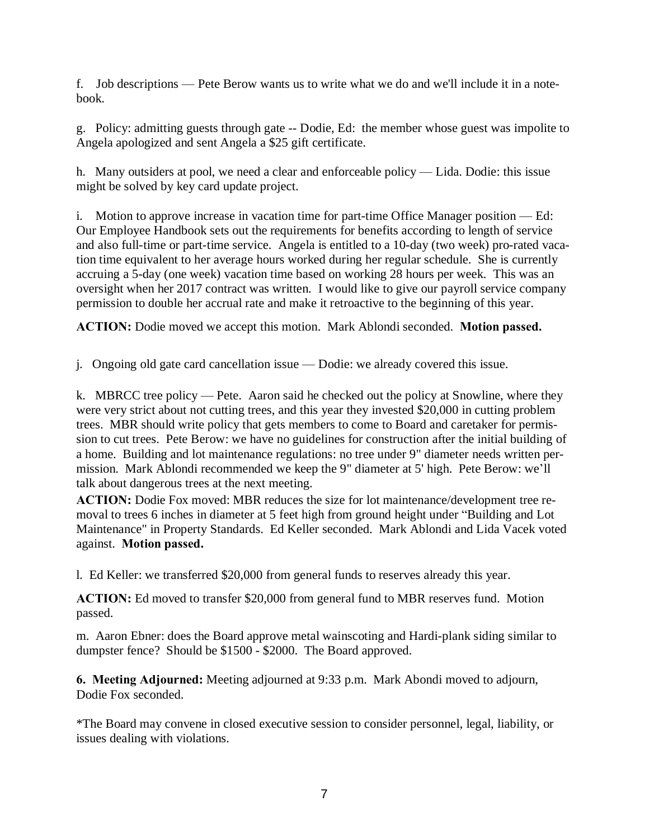f. Job descriptions — Pete Berow wants us to write what we do and we'll include it in a notebook.

g. Policy: admitting guests through gate -- Dodie, Ed: the member whose guest was impolite to Angela apologized and sent Angela a \$25 gift certificate.

h. Many outsiders at pool, we need a clear and enforceable policy — Lida. Dodie: this issue might be solved by key card update project.

i. Motion to approve increase in vacation time for part-time Office Manager position — Ed: Our Employee Handbook sets out the requirements for benefits according to length of service and also full-time or part-time service. Angela is entitled to a 10-day (two week) pro-rated vacation time equivalent to her average hours worked during her regular schedule. She is currently accruing a 5-day (one week) vacation time based on working 28 hours per week. This was an oversight when her 2017 contract was written. I would like to give our payroll service company permission to double her accrual rate and make it retroactive to the beginning of this year.

ACTION: Dodie moved we accept this motion. Mark Ablondi seconded. Motion passed.

j. Ongoing old gate card cancellation issue — Dodie: we already covered this issue.

k. MBRCC tree policy — Pete. Aaron said he checked out the policy at Snowline, where they were very strict about not cutting trees, and this year they invested \$20,000 in cutting problem trees. MBR should write policy that gets members to come to Board and caretaker for permission to cut trees. Pete Berow: we have no guidelines for construction after the initial building of a home. Building and lot maintenance regulations: no tree under 9" diameter needs written permission. Mark Ablondi recommended we keep the 9" diameter at 5' high. Pete Berow: we'll talk about dangerous trees at the next meeting.

ACTION: Dodie Fox moved: MBR reduces the size for lot maintenance/development tree removal to trees 6 inches in diameter at 5 feet high from ground height under "Building and Lot Maintenance" in Property Standards. Ed Keller seconded. Mark Ablondi and Lida Vacek voted against. Motion passed.

l. Ed Keller: we transferred \$20,000 from general funds to reserves already this year.

ACTION: Ed moved to transfer \$20,000 from general fund to MBR reserves fund. Motion passed.

m. Aaron Ebner: does the Board approve metal wainscoting and Hardi-plank siding similar to dumpster fence? Should be \$1500 - \$2000. The Board approved.

6. Meeting Adjourned: Meeting adjourned at 9:33 p.m. Mark Abondi moved to adjourn, Dodie Fox seconded.

\*The Board may convene in closed executive session to consider personnel, legal, liability, or issues dealing with violations.